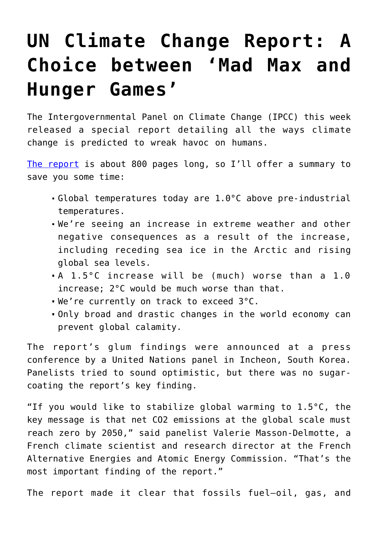## **[UN Climate Change Report: A](https://intellectualtakeout.org/2018/10/un-climate-change-report-a-choice-between-mad-max-and-hunger-games/) [Choice between 'Mad Max and](https://intellectualtakeout.org/2018/10/un-climate-change-report-a-choice-between-mad-max-and-hunger-games/) [Hunger Games'](https://intellectualtakeout.org/2018/10/un-climate-change-report-a-choice-between-mad-max-and-hunger-games/)**

The Intergovernmental Panel on Climate Change (IPCC) this week released a special report detailing all the ways climate change is predicted to wreak havoc on humans.

[The report](http://www.ipcc.ch/report/sr15/) is about 800 pages long, so I'll offer a summary to save you some time:

- Global temperatures today are 1.0°C above pre-industrial temperatures.
- We're seeing an increase in extreme weather and other negative consequences as a result of the increase, including receding sea ice in the Arctic and rising global sea levels.
- A 1.5°C increase will be (much) worse than a 1.0 increase; 2°C would be much worse than that.
- We're currently on track to exceed 3°C.
- Only broad and drastic changes in the world economy can prevent global calamity.

The report's glum findings were announced at a press conference by a United Nations panel in Incheon, South Korea. Panelists tried to sound optimistic, but there was no sugarcoating the report's key finding.

"If you would like to stabilize global warming to  $1.5^{\circ}$ C, the key message is that net CO2 emissions at the global scale must reach zero by 2050," said panelist Valerie Masson-Delmotte, a French climate scientist and research director at the French Alternative Energies and Atomic Energy Commission. "That's the most important finding of the report."

The report made it clear that fossils fuel—oil, gas, and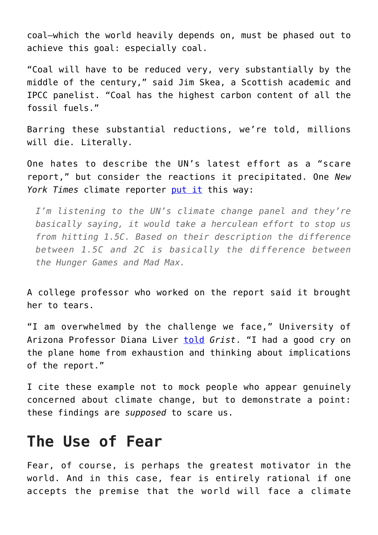coal—which the world heavily depends on, must be phased out to achieve this goal: especially coal.

"Coal will have to be reduced very, very substantially by the middle of the century," said Jim Skea, a Scottish academic and IPCC panelist. "Coal has the highest carbon content of all the fossil fuels."

Barring these substantial reductions, we're told, millions will die. Literally.

One hates to describe the UN's latest effort as a "scare report," but consider the reactions it precipitated. One *New York Times* climate reporter [put it](https://twitter.com/KendraWrites/status/1049105676029644800) this way:

*I'm listening to the UN's climate change panel and they're basically saying, it would take a herculean effort to stop us from hitting 1.5C. Based on their description the difference between 1.5C and 2C is basically the difference between the Hunger Games and Mad Max.*

A college professor who worked on the report said it brought her to tears.

"I am overwhelmed by the challenge we face," University of Arizona Professor Diana Liver [told](https://grist.org/article/scientists-calmly-explain-that-civilization-is-at-stake-if-we-dont-act-now/) *Grist*. "I had a good cry on the plane home from exhaustion and thinking about implications of the report."

I cite these example not to mock people who appear genuinely concerned about climate change, but to demonstrate a point: these findings are *supposed* to scare us.

## **The Use of Fear**

Fear, of course, is perhaps the greatest motivator in the world. And in this case, fear is entirely rational if one accepts the premise that the world will face a climate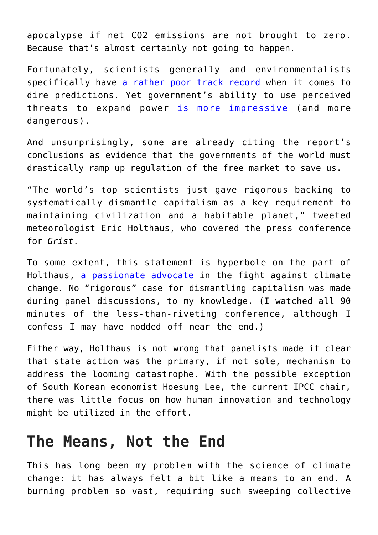apocalypse if net CO2 emissions are not brought to zero. Because that's almost certainly not going to happen.

Fortunately, scientists generally and environmentalists specifically have [a rather poor track record](http://www.aei.org/publication/18-spectacularly-wrong-predictions-made-around-the-time-of-first-earth-day-in-1970-expect-more-this-year/) when it comes to dire predictions. Yet government's ability to use perceived threats to expand power [is more impressive](https://www.heritage.org/environment/commentary/epa-poised-undo-obamas-federal-power-grab) (and more dangerous).

And unsurprisingly, some are already citing the report's conclusions as evidence that the governments of the world must drastically ramp up regulation of the free market to save us.

"The world's top scientists just gave rigorous backing to systematically dismantle capitalism as a key requirement to maintaining civilization and a habitable planet," tweeted meteorologist Eric Holthaus, who covered the press conference for *Grist*.

To some extent, this statement is hyperbole on the part of Holthaus, [a passionate advocate](http://www.slate.com/blogs/future_tense/2013/10/03/sniveling_beta_male_fox_news_greg_gutfeld_slams_eric_holthaus_for_giving.html) in the fight against climate change. No "rigorous" case for dismantling capitalism was made during panel discussions, to my knowledge. (I watched all 90 minutes of the less-than-riveting conference, although I confess I may have nodded off near the end.)

Either way, Holthaus is not wrong that panelists made it clear that state action was the primary, if not sole, mechanism to address the looming catastrophe. With the possible exception of South Korean economist Hoesung Lee, the current IPCC chair, there was little focus on how human innovation and technology might be utilized in the effort.

## **The Means, Not the End**

This has long been my problem with the science of climate change: it has always felt a bit like a means to an end. A burning problem so vast, requiring such sweeping collective